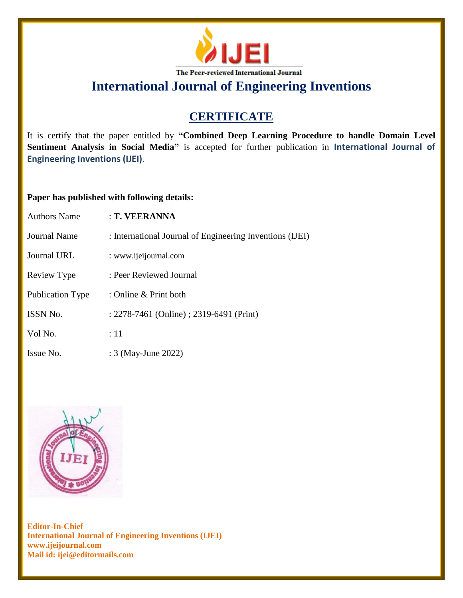

# **CERTIFICATE**

It is certify that the paper entitled by **"Combined Deep Learning Procedure to handle Domain Level Sentiment Analysis in Social Media"** is accepted for further publication in **International Journal of Engineering Inventions (IJEI)**.

## **Paper has published with following details:**

| <b>Authors Name</b>     | : T. VEERANNA                                            |
|-------------------------|----------------------------------------------------------|
| Journal Name            | : International Journal of Engineering Inventions (IJEI) |
| Journal URL             | : www.ijeijournal.com                                    |
| Review Type             | : Peer Reviewed Journal                                  |
| <b>Publication Type</b> | : Online $&$ Print both                                  |
| <b>ISSN No.</b>         | : 2278-7461 (Online) ; 2319-6491 (Print)                 |
| Vol No.                 | :11                                                      |
| Issue No.               | : 3 (May-June 2022)                                      |

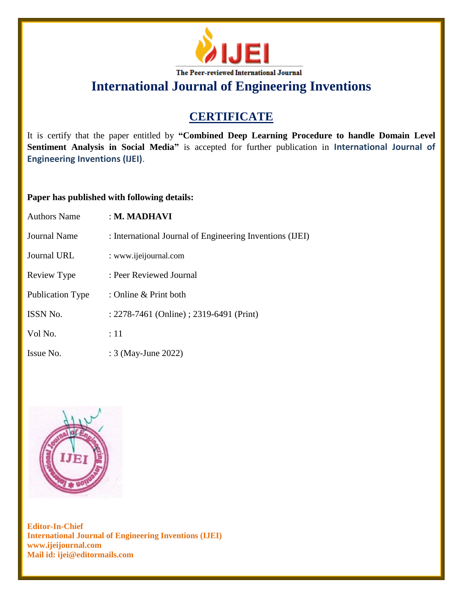

# **CERTIFICATE**

It is certify that the paper entitled by **"Combined Deep Learning Procedure to handle Domain Level Sentiment Analysis in Social Media"** is accepted for further publication in **International Journal of Engineering Inventions (IJEI)**.

## **Paper has published with following details:**

| <b>Authors Name</b>     | $\pm$ M. MADHAVI                                         |
|-------------------------|----------------------------------------------------------|
| Journal Name            | : International Journal of Engineering Inventions (IJEI) |
| Journal URL             | : www.ijeijournal.com                                    |
| Review Type             | : Peer Reviewed Journal                                  |
| <b>Publication Type</b> | : Online & Print both                                    |
| ISSN No.                | : 2278-7461 (Online) ; 2319-6491 (Print)                 |
| Vol No.                 | :11                                                      |
| Issue No.               | : 3 (May-June 2022)                                      |

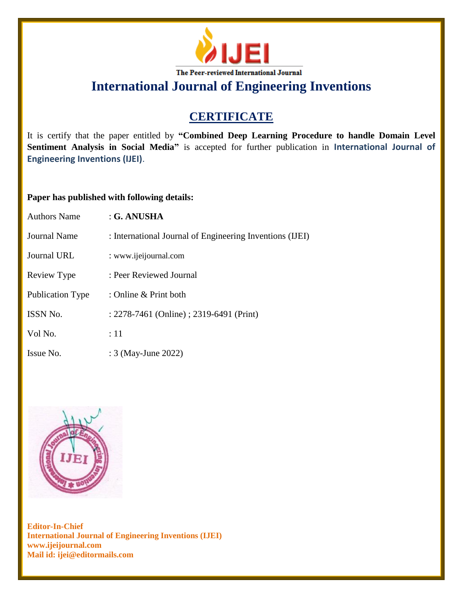

# **CERTIFICATE**

It is certify that the paper entitled by **"Combined Deep Learning Procedure to handle Domain Level Sentiment Analysis in Social Media"** is accepted for further publication in **International Journal of Engineering Inventions (IJEI)**.

## **Paper has published with following details:**

| <b>Authors Name</b>     | : G. ANUSHA                                              |
|-------------------------|----------------------------------------------------------|
| Journal Name            | : International Journal of Engineering Inventions (IJEI) |
| <b>Journal URL</b>      | : www.ijeijournal.com                                    |
| Review Type             | : Peer Reviewed Journal                                  |
| <b>Publication Type</b> | : Online & Print both                                    |
| ISSN No.                | : 2278-7461 (Online) ; 2319-6491 (Print)                 |
| Vol No.                 | :11                                                      |
| Issue No.               | : 3 (May-June 2022)                                      |

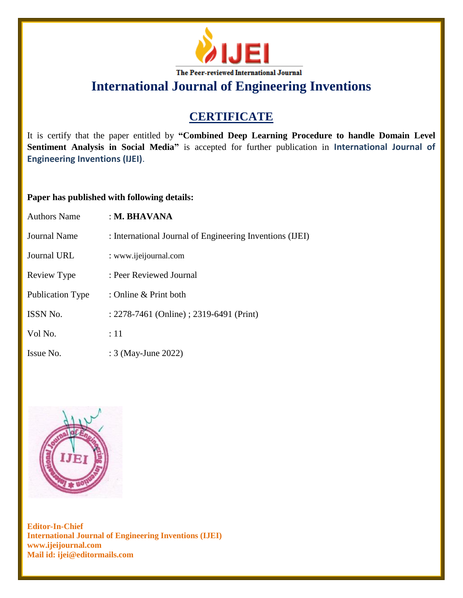

# **CERTIFICATE**

It is certify that the paper entitled by **"Combined Deep Learning Procedure to handle Domain Level Sentiment Analysis in Social Media"** is accepted for further publication in **International Journal of Engineering Inventions (IJEI)**.

## **Paper has published with following details:**

| <b>Authors Name</b>     | : M. BHAVANA                                             |
|-------------------------|----------------------------------------------------------|
| Journal Name            | : International Journal of Engineering Inventions (IJEI) |
| Journal URL             | : www.ijeijournal.com                                    |
| Review Type             | : Peer Reviewed Journal                                  |
| <b>Publication Type</b> | : Online & Print both                                    |
| ISSN No.                | : 2278-7461 (Online) ; 2319-6491 (Print)                 |
| Vol No.                 | :11                                                      |
| Issue No.               | : 3 (May-June 2022)                                      |